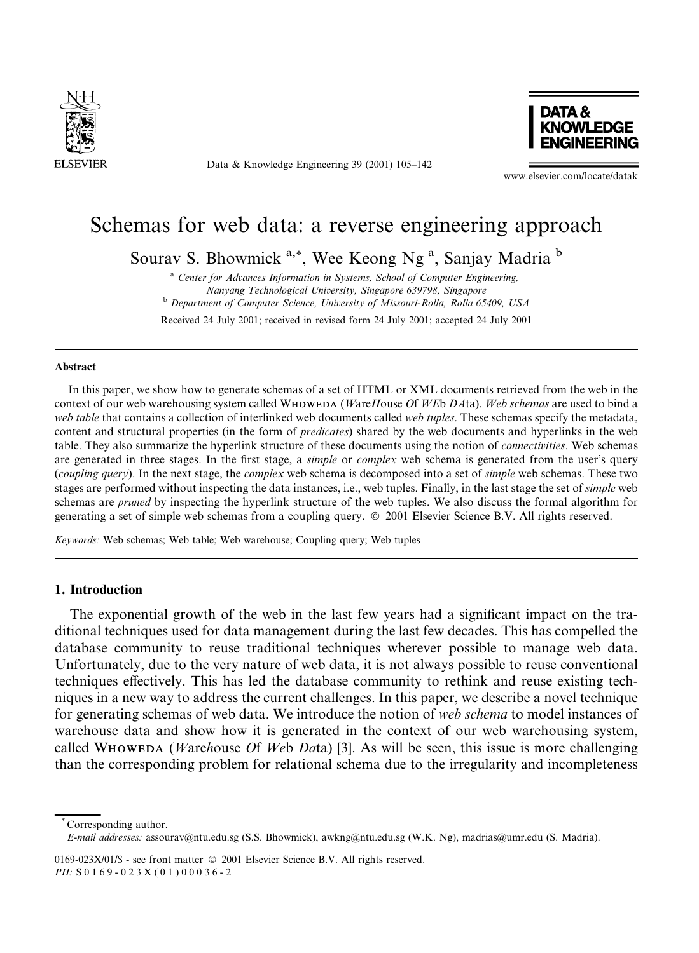

Data & Knowledge Engineering 39 (2001) 105-142



www.elsevier.com/locate/datak

## Schemas for web data: a reverse engineering approach

Sourav S. Bhowmick <sup>a,\*</sup>, Wee Keong Ng<sup>a</sup>, Sanjay Madria<sup>b</sup>

<sup>a</sup> Center for Advances Information in Systems, School of Computer Engineering, Nanyang Technological University, Singapore 639798, Singapore <sup>b</sup> Department of Computer Science, University of Missouri-Rolla, Rolla 65409, USA Received 24 July 2001; received in revised form 24 July 2001; accepted 24 July 2001

#### **Abstract**

In this paper, we show how to generate schemas of a set of HTML or XML documents retrieved from the web in the context of our web warehousing system called WHOWEDA (WareHouse Of WEb DAta). Web schemas are used to bind a web table that contains a collection of interlinked web documents called web tuples. These schemas specify the metadata, content and structural properties (in the form of *predicates*) shared by the web documents and hyperlinks in the web table. They also summarize the hyperlink structure of these documents using the notion of *connectivities*. Web schemas are generated in three stages. In the first stage, a *simple* or *complex* web schema is generated from the user's query (coupling query). In the next stage, the complex web schema is decomposed into a set of simple web schemas. These two stages are performed without inspecting the data instances, i.e., web tuples. Finally, in the last stage the set of *simple* web schemas are *pruned* by inspecting the hyperlink structure of the web tuples. We also discuss the formal algorithm for generating a set of simple web schemas from a coupling query. © 2001 Elsevier Science B.V. All rights reserved.

Keywords: Web schemas; Web table; Web warehouse; Coupling query; Web tuples

### 1. Introduction

The exponential growth of the web in the last few years had a significant impact on the traditional techniques used for data management during the last few decades. This has compelled the database community to reuse traditional techniques wherever possible to manage web data. Unfortunately, due to the very nature of web data, it is not always possible to reuse conventional techniques effectively. This has led the database community to rethink and reuse existing techniques in a new way to address the current challenges. In this paper, we describe a novel technique for generating schemas of web data. We introduce the notion of web schema to model instances of warehouse data and show how it is generated in the context of our web warehousing system, called WHOWEDA (Warehouse Of Web Data) [3]. As will be seen, this issue is more challenging than the corresponding problem for relational schema due to the irregularity and incompleteness

Corresponding author.

E-mail addresses: assourav@ntu.edu.sg (S.S. Bhowmick), awkng@ntu.edu.sg (W.K. Ng), madrias@umr.edu (S. Madria).

0169-023X/01/\$ - see front matter © 2001 Elsevier Science B.V. All rights reserved. PII: S0169-023X(01)00036-2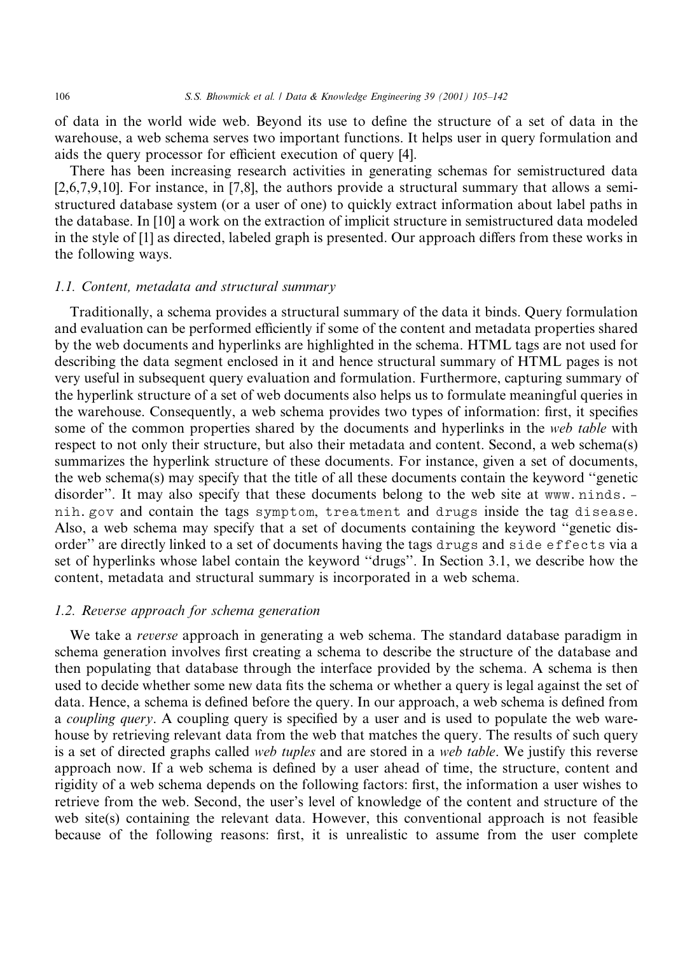of data in the world wide web. Beyond its use to define the structure of a set of data in the warehouse, a web schema serves two important functions. It helps user in query formulation and aids the query processor for efficient execution of query [4].

There has been increasing research activities in generating schemas for semistructured data  $[2,6,7,9,10]$ . For instance, in [7,8], the authors provide a structural summary that allows a semistructured database system (or a user of one) to quickly extract information about label paths in the database. In [10] a work on the extraction of implicit structure in semistructured data modeled in the style of [1] as directed, labeled graph is presented. Our approach differs from these works in the following ways.

#### 1.1. Content, metadata and structural summary

Traditionally, a schema provides a structural summary of the data it binds. Query formulation and evaluation can be performed efficiently if some of the content and metadata properties shared by the web documents and hyperlinks are highlighted in the schema. HTML tags are not used for describing the data segment enclosed in it and hence structural summary of HTML pages is not very useful in subsequent query evaluation and formulation. Furthermore, capturing summary of the hyperlink structure of a set of web documents also helps us to formulate meaningful queries in the warehouse. Consequently, a web schema provides two types of information: first, it specifies some of the common properties shared by the documents and hyperlinks in the web table with respect to not only their structure, but also their metadata and content. Second, a web schema(s) summarizes the hyperlink structure of these documents. For instance, given a set of documents, the web schema(s) may specify that the title of all these documents contain the keyword "genetic disorder". It may also specify that these documents belong to the web site at www.ninds. nih. gov and contain the tags symptom, treatment and drugs inside the tag disease. Also, a web schema may specify that a set of documents containing the keyword "genetic disorder" are directly linked to a set of documents having the tags drugs and side effects via a set of hyperlinks whose label contain the keyword "drugs". In Section 3.1, we describe how the content, metadata and structural summary is incorporated in a web schema.

#### 1.2. Reverse approach for schema generation

We take a *reverse* approach in generating a web schema. The standard database paradigm in schema generation involves first creating a schema to describe the structure of the database and then populating that database through the interface provided by the schema. A schema is then used to decide whether some new data fits the schema or whether a query is legal against the set of data. Hence, a schema is defined before the query. In our approach, a web schema is defined from a *coupling query*. A coupling query is specified by a user and is used to populate the web warehouse by retrieving relevant data from the web that matches the query. The results of such query is a set of directed graphs called *web tuples* and are stored in a *web table*. We justify this reverse approach now. If a web schema is defined by a user ahead of time, the structure, content and rigidity of a web schema depends on the following factors: first, the information a user wishes to retrieve from the web. Second, the user's level of knowledge of the content and structure of the web site(s) containing the relevant data. However, this conventional approach is not feasible because of the following reasons: first, it is unrealistic to assume from the user complete